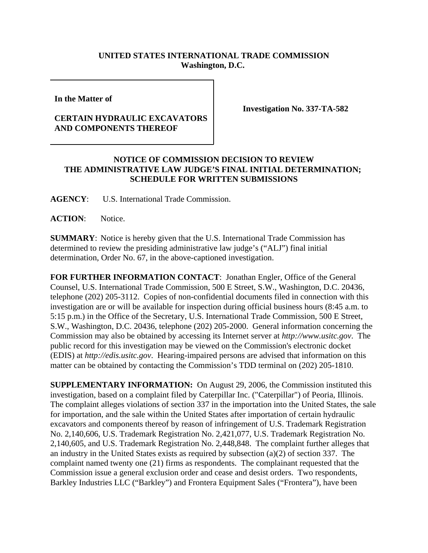## **UNITED STATES INTERNATIONAL TRADE COMMISSION Washington, D.C.**

**In the Matter of** 

## **CERTAIN HYDRAULIC EXCAVATORS AND COMPONENTS THEREOF**

**Investigation No. 337-TA-582**

## **NOTICE OF COMMISSION DECISION TO REVIEW THE ADMINISTRATIVE LAW JUDGE'S FINAL INITIAL DETERMINATION; SCHEDULE FOR WRITTEN SUBMISSIONS**

**AGENCY**: U.S. International Trade Commission.

ACTION: Notice.

**SUMMARY**: Notice is hereby given that the U.S. International Trade Commission has determined to review the presiding administrative law judge's ("ALJ") final initial determination, Order No. 67, in the above-captioned investigation.

**FOR FURTHER INFORMATION CONTACT**: Jonathan Engler, Office of the General Counsel, U.S. International Trade Commission, 500 E Street, S.W., Washington, D.C. 20436, telephone (202) 205-3112. Copies of non-confidential documents filed in connection with this investigation are or will be available for inspection during official business hours (8:45 a.m. to 5:15 p.m.) in the Office of the Secretary, U.S. International Trade Commission, 500 E Street, S.W., Washington, D.C. 20436, telephone (202) 205-2000. General information concerning the Commission may also be obtained by accessing its Internet server at *http://www.usitc.gov*. The public record for this investigation may be viewed on the Commission's electronic docket (EDIS) at *http://edis.usitc.gov*. Hearing-impaired persons are advised that information on this matter can be obtained by contacting the Commission's TDD terminal on (202) 205-1810.

**SUPPLEMENTARY INFORMATION:** On August 29, 2006, the Commission instituted this investigation, based on a complaint filed by Caterpillar Inc. ("Caterpillar") of Peoria, Illinois. The complaint alleges violations of section 337 in the importation into the United States, the sale for importation, and the sale within the United States after importation of certain hydraulic excavators and components thereof by reason of infringement of U.S. Trademark Registration No. 2,140,606, U.S. Trademark Registration No. 2,421,077, U.S. Trademark Registration No. 2,140,605, and U.S. Trademark Registration No. 2,448,848. The complaint further alleges that an industry in the United States exists as required by subsection (a)(2) of section 337. The complaint named twenty one (21) firms as respondents. The complainant requested that the Commission issue a general exclusion order and cease and desist orders. Two respondents, Barkley Industries LLC ("Barkley") and Frontera Equipment Sales ("Frontera"), have been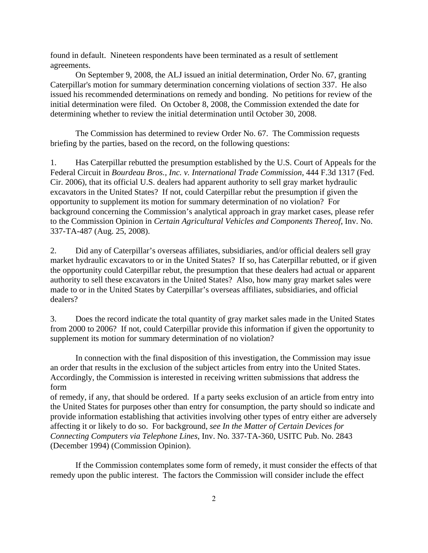found in default. Nineteen respondents have been terminated as a result of settlement agreements.

On September 9, 2008, the ALJ issued an initial determination, Order No. 67, granting Caterpillar's motion for summary determination concerning violations of section 337. He also issued his recommended determinations on remedy and bonding. No petitions for review of the initial determination were filed. On October 8, 2008, the Commission extended the date for determining whether to review the initial determination until October 30, 2008.

The Commission has determined to review Order No. 67. The Commission requests briefing by the parties, based on the record, on the following questions:

1. Has Caterpillar rebutted the presumption established by the U.S. Court of Appeals for the Federal Circuit in *Bourdeau Bros., Inc. v. International Trade Commission*, 444 F.3d 1317 (Fed. Cir. 2006), that its official U.S. dealers had apparent authority to sell gray market hydraulic excavators in the United States? If not, could Caterpillar rebut the presumption if given the opportunity to supplement its motion for summary determination of no violation? For background concerning the Commission's analytical approach in gray market cases, please refer to the Commission Opinion in *Certain Agricultural Vehicles and Components Thereof*, Inv. No. 337-TA-487 (Aug. 25, 2008).

2. Did any of Caterpillar's overseas affiliates, subsidiaries, and/or official dealers sell gray market hydraulic excavators to or in the United States? If so, has Caterpillar rebutted, or if given the opportunity could Caterpillar rebut, the presumption that these dealers had actual or apparent authority to sell these excavators in the United States? Also, how many gray market sales were made to or in the United States by Caterpillar's overseas affiliates, subsidiaries, and official dealers?

3. Does the record indicate the total quantity of gray market sales made in the United States from 2000 to 2006? If not, could Caterpillar provide this information if given the opportunity to supplement its motion for summary determination of no violation?

In connection with the final disposition of this investigation, the Commission may issue an order that results in the exclusion of the subject articles from entry into the United States. Accordingly, the Commission is interested in receiving written submissions that address the form

of remedy, if any, that should be ordered. If a party seeks exclusion of an article from entry into the United States for purposes other than entry for consumption, the party should so indicate and provide information establishing that activities involving other types of entry either are adversely affecting it or likely to do so. For background, *see In the Matter of Certain Devices for Connecting Computers via Telephone Lines*, Inv. No. 337-TA-360, USITC Pub. No. 2843 (December 1994) (Commission Opinion).

If the Commission contemplates some form of remedy, it must consider the effects of that remedy upon the public interest. The factors the Commission will consider include the effect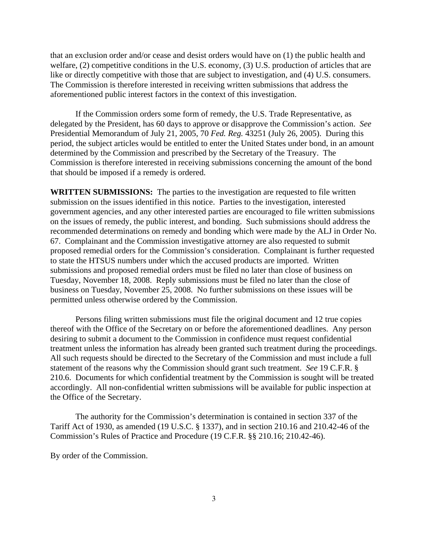that an exclusion order and/or cease and desist orders would have on (1) the public health and welfare, (2) competitive conditions in the U.S. economy, (3) U.S. production of articles that are like or directly competitive with those that are subject to investigation, and (4) U.S. consumers. The Commission is therefore interested in receiving written submissions that address the aforementioned public interest factors in the context of this investigation.

If the Commission orders some form of remedy, the U.S. Trade Representative, as delegated by the President, has 60 days to approve or disapprove the Commission's action. *See* Presidential Memorandum of July 21, 2005, 70 *Fed. Reg.* 43251 (July 26, 2005). During this period, the subject articles would be entitled to enter the United States under bond, in an amount determined by the Commission and prescribed by the Secretary of the Treasury. The Commission is therefore interested in receiving submissions concerning the amount of the bond that should be imposed if a remedy is ordered.

**WRITTEN SUBMISSIONS:** The parties to the investigation are requested to file written submission on the issues identified in this notice. Parties to the investigation, interested government agencies, and any other interested parties are encouraged to file written submissions on the issues of remedy, the public interest, and bonding. Such submissions should address the recommended determinations on remedy and bonding which were made by the ALJ in Order No. 67. Complainant and the Commission investigative attorney are also requested to submit proposed remedial orders for the Commission's consideration. Complainant is further requested to state the HTSUS numbers under which the accused products are imported. Written submissions and proposed remedial orders must be filed no later than close of business on Tuesday, November 18, 2008. Reply submissions must be filed no later than the close of business on Tuesday, November 25, 2008. No further submissions on these issues will be permitted unless otherwise ordered by the Commission.

Persons filing written submissions must file the original document and 12 true copies thereof with the Office of the Secretary on or before the aforementioned deadlines. Any person desiring to submit a document to the Commission in confidence must request confidential treatment unless the information has already been granted such treatment during the proceedings. All such requests should be directed to the Secretary of the Commission and must include a full statement of the reasons why the Commission should grant such treatment. *See* 19 C.F.R. § 210.6. Documents for which confidential treatment by the Commission is sought will be treated accordingly. All non-confidential written submissions will be available for public inspection at the Office of the Secretary.

The authority for the Commission's determination is contained in section 337 of the Tariff Act of 1930, as amended (19 U.S.C. § 1337), and in section 210.16 and 210.42-46 of the Commission's Rules of Practice and Procedure (19 C.F.R. §§ 210.16; 210.42-46).

By order of the Commission.